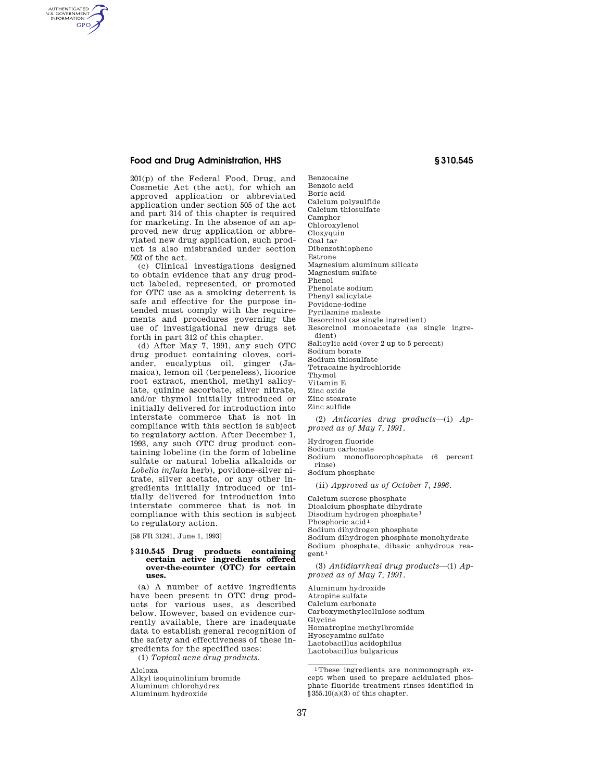AUTHENTICATED<br>U.S. GOVERNMENT<br>INFORMATION **GPO** 

> 201(p) of the Federal Food, Drug, and Cosmetic Act (the act), for which an approved application or abbreviated application under section 505 of the act and part 314 of this chapter is required for marketing. In the absence of an approved new drug application or abbreviated new drug application, such product is also misbranded under section 502 of the act.

> (c) Clinical investigations designed to obtain evidence that any drug product labeled, represented, or promoted for OTC use as a smoking deterrent is safe and effective for the purpose intended must comply with the requirements and procedures governing the use of investigational new drugs set forth in part 312 of this chapter.

> (d) After May 7, 1991, any such OTC drug product containing cloves, coriander, eucalyptus oil, ginger (Jamaica), lemon oil (terpeneless), licorice root extract, menthol, methyl salicylate, quinine ascorbate, silver nitrate, and/or thymol initially introduced or initially delivered for introduction into interstate commerce that is not in compliance with this section is subject to regulatory action. After December 1, 1993, any such OTC drug product containing lobeline (in the form of lobeline sulfate or natural lobelia alkaloids or *Lobelia inflata* herb), povidone-silver nitrate, silver acetate, or any other ingredients initially introduced or initially delivered for introduction into interstate commerce that is not in compliance with this section is subject to regulatory action.

[58 FR 31241, June 1, 1993]

### **§ 310.545 Drug products containing certain active ingredients offered over-the-counter (OTC) for certain uses.**

(a) A number of active ingredients have been present in OTC drug products for various uses, as described below. However, based on evidence currently available, there are inadequate data to establish general recognition of the safety and effectiveness of these ingredients for the specified uses:

(1) *Topical acne drug products.* 

Alcloxa Alkyl isoquinolinium bromide

Aluminum chlorohydrex Aluminum hydroxide

Benzocaine Benzoic acid Boric acid Calcium polysulfide Calcium thiosulfate Camphor Chloroxylenol Cloxyquin Coal tar Dibenzothiophene Estrone Magnesium aluminum silicate Magnesium sulfate Phenol Phenolate sodium Phenyl salicylate Povidone-iodine Pyrilamine maleate Resorcinol (as single ingredient) Resorcinol monoacetate (as single ingredient) Salicylic acid (over 2 up to 5 percent) Sodium borate Sodium thiosulfate Tetracaine hydrochloride Thymol Vitamin E Zinc oxide Zinc stearate Zinc sulfide

(2) *Anticaries drug products*—(i) *Approved as of May 7, 1991.* 

Hydrogen fluoride

Sodium carbonate

Sodium monofluorophosphate (6 percent rinse)

Sodium phosphate

(ii) *Approved as of October 7, 1996.* 

Calcium sucrose phosphate Dicalcium phosphate dihydrate Disodium hydrogen phosphate 1 Phosphoric acid<sup>1</sup> Sodium dihydrogen phosphate Sodium dihydrogen phosphate monohydrate Sodium phosphate, dibasic anhydrous reagent 1

(3) *Antidiarrheal drug products*—(i) *Approved as of May 7, 1991*.

Aluminum hydroxide Atropine sulfate Calcium carbonate Carboxymethylcellulose sodium Glycine Homatropine methylbromide Hyoscyamine sulfate Lactobacillus acidophilus Lactobacillus bulgaricus

<sup>1</sup>These ingredients are nonmonograph except when used to prepare acidulated phosphate fluoride treatment rinses identified in  $§ 355.10(a)(3)$  of this chapter.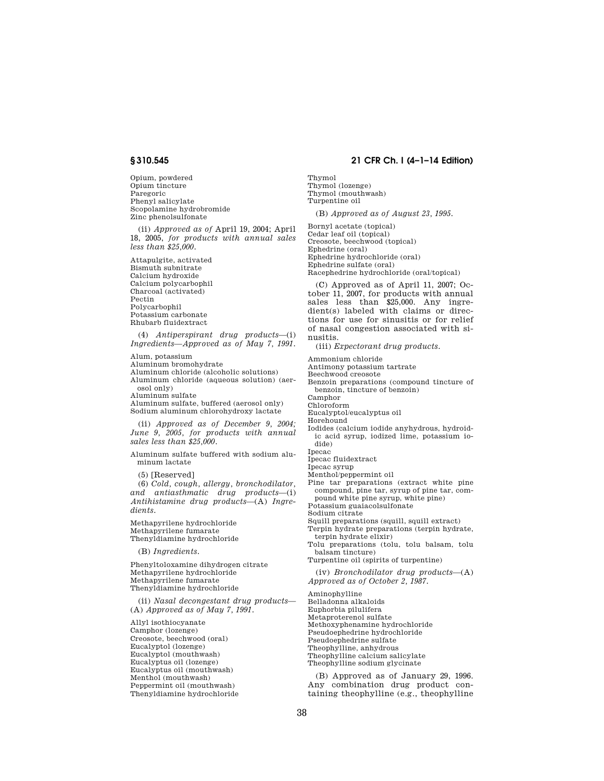Opium, powdered Opium tincture Paregoric Phenyl salicylate Scopolamine hydrobromide Zinc phenolsulfonate

(ii) *Approved as of* April 19, 2004; April 18, 2005, *for products with annual sales less than \$25,000*.

Attapulgite, activated Bismuth subnitrate Calcium hydroxide Calcium polycarbophil Charcoal (activated) Pectin Polycarbophil Potassium carbonate Rhubarb fluidextract

(4) *Antiperspirant drug products*—(i) *Ingredients*—*Approved as of May 7, 1991.* 

Alum, potassium

Aluminum bromohydrate

Aluminum chloride (alcoholic solutions) Aluminum chloride (aqueous solution) (aerosol only)

Aluminum sulfate

Aluminum sulfate, buffered (aerosol only) Sodium aluminum chlorohydroxy lactate

(ii) *Approved as of December 9, 2004; June 9, 2005, for products with annual sales less than \$25,000*.

Aluminum sulfate buffered with sodium aluminum lactate

(5) [Reserved]

(6) *Cold, cough, allergy, bronchodilator, and antiasthmatic drug products*—(i) *Antihistamine drug products*—(A) *Ingredients.* 

Methapyrilene hydrochloride Methapyrilene fumarate Thenyldiamine hydrochloride

(B) *Ingredients.* 

Phenyltoloxamine dihydrogen citrate Methapyrilene hydrochloride Methapyrilene fumarate Thenyldiamine hydrochloride

(ii) *Nasal decongestant drug products*— (A) *Approved as of May 7, 1991*.

Allyl isothiocyanate Camphor (lozenge) Creosote, beechwood (oral) Eucalyptol (lozenge) Eucalyptol (mouthwash) Eucalyptus oil (lozenge) Eucalyptus oil (mouthwash) Menthol (mouthwash) Peppermint oil (mouthwash) Thenyldiamine hydrochloride

## **§ 310.545 21 CFR Ch. I (4–1–14 Edition)**

Thymol Thymol (lozenge) Thymol (mouthwash) Turpentine oil

(B) *Approved as of August 23, 1995.* 

Bornyl acetate (topical) Cedar leaf oil (topical) Creosote, beechwood (topical) Ephedrine (oral) Ephedrine hydrochloride (oral) Ephedrine sulfate (oral) Racephedrine hydrochloride (oral/topical)

(C) Approved as of April 11, 2007; October 11, 2007, for products with annual sales less than \$25,000. Any ingredient(s) labeled with claims or directions for use for sinusitis or for relief of nasal congestion associated with sinusitis.

(iii) *Expectorant drug products.* 

Ammonium chloride

Antimony potassium tartrate

Beechwood creosote

Benzoin preparations (compound tincture of benzoin, tincture of benzoin)

Camphor

Chloroform

Eucalyptol/eucalyptus oil

Horehound

Iodides (calcium iodide anyhydrous, hydroidic acid syrup, iodized lime, potassium iodide)

Ipecac

Ipecac fluidextract

Ipecac syrup

- Menthol/peppermint oil
- Pine tar preparations (extract white pine compound, pine tar, syrup of pine tar, compound white pine syrup, white pine)

Potassium guaiacolsulfonate

Sodium citrate

Squill preparations (squill, squill extract) Terpin hydrate preparations (terpin hydrate,

terpin hydrate elixir)

Tolu preparations (tolu, tolu balsam, tolu balsam tincture)

Turpentine oil (spirits of turpentine)

(iv) *Bronchodilator drug products*—(A) *Approved as of October 2, 1987.* 

Aminophylline Belladonna alkaloids Euphorbia pilulifera Metaproterenol sulfate Methoxyphenamine hydrochloride Pseudoephedrine hydrochloride Pseudoephedrine sulfate Theophylline, anhydrous Theophylline calcium salicylate Theophylline sodium glycinate

(B) Approved as of January 29, 1996. Any combination drug product containing theophylline (e.g., theophylline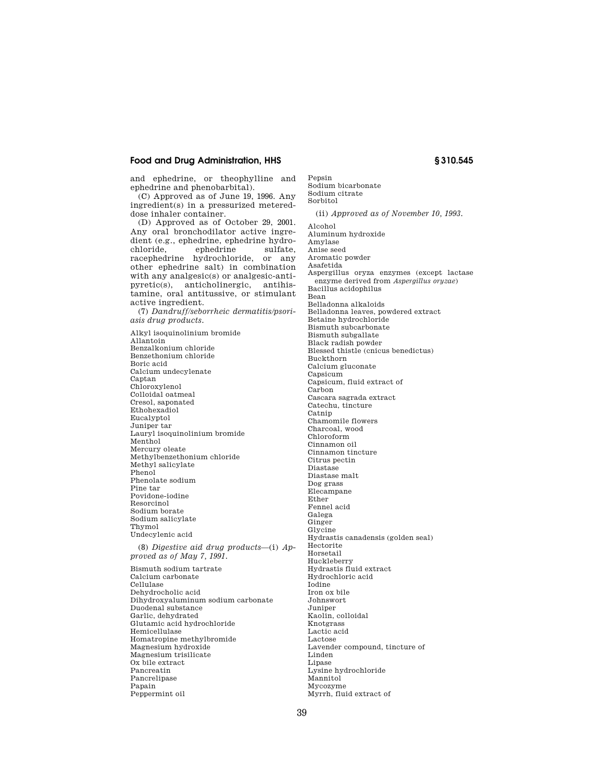and ephedrine, or theophylline and ephedrine and phenobarbital).

(C) Approved as of June 19, 1996. Any ingredient(s) in a pressurized metereddose inhaler container.

(D) Approved as of October 29, 2001. Any oral bronchodilator active ingredient (e.g., ephedrine, ephedrine hydrochloride, ephedrine sulfate, racephedrine hydrochloride, or any other ephedrine salt) in combination with any analgesic(s) or analgesic-antipyretic(s), anticholinergic, antihistamine, oral antitussive, or stimulant active ingredient.

(7) *Dandruff/seborrheic dermatitis/psoriasis drug products.* 

Alkyl isoquinolinium bromide Allantoin Benzalkonium chloride Benzethonium chloride Boric acid Calcium undecylenate Captan Chloroxylenol Colloidal oatmeal Cresol, saponated Ethohexadiol Eucalyptol Juniper tar Lauryl isoquinolinium bromide Menthol Mercury oleate Methylbenzethonium chloride Methyl salicylate Phenol Phenolate sodium Pine tar Povidone-iodine Resorcinol Sodium borate Sodium salicylate Thymol Undecylenic acid

(8) *Digestive aid drug products*—(i) *Approved as of May 7, 1991.* 

Bismuth sodium tartrate Calcium carbonate Cellulase Dehydrocholic acid Dihydroxyaluminum sodium carbonate Duodenal substance Garlic, dehydrated Glutamic acid hydrochloride Hemicellulase Homatropine methylbromide Magnesium hydroxide Magnesium trisilicate Ox bile extract Pancreatin Pancrelipase Papain Peppermint oil

Pepsin

Sodium bicarbonate

Sodium citrate Sorbitol (ii) *Approved as of November 10, 1993.*  Alcohol Aluminum hydroxide Amylase Anise seed Aromatic powder Asafetida Aspergillus oryza enzymes (except lactase enzyme derived from *Aspergillus oryzae*) Bacillus acidophilus Bean Belladonna alkaloids Belladonna leaves, powdered extract Betaine hydrochloride Bismuth subcarbonate Bismuth subgallate Black radish powder Blessed thistle (cnicus benedictus) Buckthorn Calcium gluconate Capsicum Capsicum, fluid extract of Carbon Cascara sagrada extract Catechu, tincture Catnip Chamomile flowers Charcoal, wood Chloroform Cinnamon oil Cinnamon tincture Citrus pectin Diastase Diastase malt Dog grass Elecampane Ether Fennel acid Galega Ginger Glycine Hydrastis canadensis (golden seal) Hectorite Horsetail Huckleberry Hydrastis fluid extract Hydrochloric acid Iodine Iron ox bile Johnswort Juniper Kaolin, colloidal Knotgrass Lactic acid Lactose Lavender compound, tincture of Linden Lipase Lysine hydrochloride Mannitol Mycozyme Myrrh, fluid extract of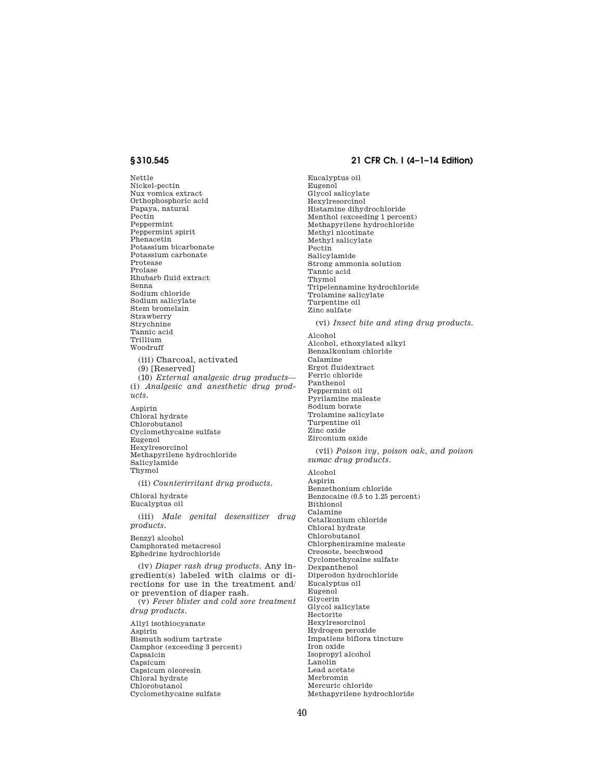Nettle Nickel-pectin Nux vomica extract Orthophosphoric acid Papaya, natural Pectin Peppermint Peppermint spirit Phenacetin Potassium bicarbonate Potassium carbonate Protease Prolase Rhubarb fluid extract Senna Sodium chloride Sodium salicylate Stem bromelain Strawberry Strychnine Tannic acid Trillium Woodruff (iii) Charcoal, activated (9) [Reserved] (10) *External analgesic drug products*— (i) *Analgesic and anesthetic drug products.*  Aspirin Chloral hydrate Chlorobutanol Cyclomethycaine sulfate Eugenol Hexylresorcinol Methapyrilene hydrochloride Salicylamide Thymol (ii) *Counterirritant drug products.*  Chloral hydrate Eucalyptus oil (iii) *Male genital desensitizer drug products.*  Benzyl alcohol Camphorated metacresol Ephedrine hydrochloride

(iv) *Diaper rash drug products.* Any ingredient(s) labeled with claims or directions for use in the treatment and/ or prevention of diaper rash. (v) *Fever blister and cold sore treatment* 

*drug products.* 

Allyl isothiocyanate Aspirin Bismuth sodium tartrate Camphor (exceeding 3 percent) Capsaicin Capsicum Capsicum oleoresin Chloral hydrate Chlorobutanol Cyclomethycaine sulfate

## **§ 310.545 21 CFR Ch. I (4–1–14 Edition)**

Eucalyptus oil Eugenol Glycol salicylate Hexylresorcinol Histamine dihydrochloride Menthol (exceeding 1 percent) Methapyrilene hydrochloride Methyl nicotinate Methyl salicylate Pectin Salicylamide Strong ammonia solution Tannic acid Thymol Tripelennamine hydrochloride Trolamine salicylate Turpentine oil Zinc sulfate

(vi) *Insect bite and sting drug products.*  Alcohol Alcohol, ethoxylated alkyl

Benzalkonium chloride Calamine Ergot fluidextract Ferric chloride Panthenol Peppermint oil Pyrilamine maleate Sodium borate Trolamine salicylate Turpentine oil Zinc oxide Zirconium oxide

(vii) *Poison ivy, poison oak, and poison sumac drug products.* 

Alcohol Aspirin Benzethonium chloride Benzocaine (0.5 to 1.25 percent) Bithionol Calamine Cetalkonium chloride Chloral hydrate Chlorobutanol Chlorpheniramine maleate Creosote, beechwood Cyclomethycaine sulfate Dexpanthenol Diperodon hydrochloride Eucalyptus oil Eugenol Glycerin Glycol salicylate Hectorite Hexylresorcinol Hydrogen peroxide Impatiens biflora tincture Iron oxide Isopropyl alcohol Lanolin Lead acetate Merbromin Mercuric chloride Methapyrilene hydrochloride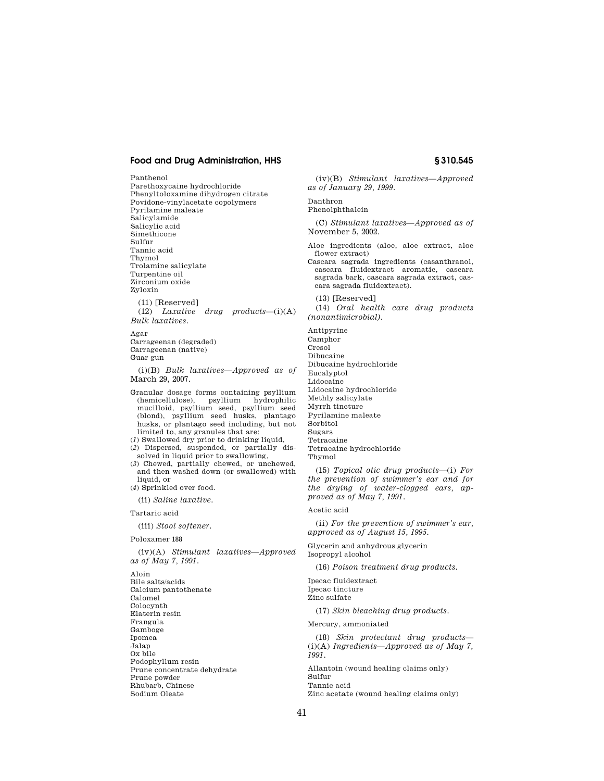Panthenol Parethoxycaine hydrochloride Phenyltoloxamine dihydrogen citrate Povidone-vinylacetate copolymers Pyrilamine maleate Salicylamide Salicylic acid Simethicone Sulfur Tannic acid Thymol Trolamine salicylate Turpentine oil Zirconium oxide Zyloxin (11) [Reserved] (12) *Laxative drug products*—(i)(A) *Bulk laxatives.*  Agar Carrageenan (degraded) Carrageenan (native) Guar gun (i)(B) *Bulk laxatives*—*Approved as of*  March 29, 2007. Granular dosage forms containing psyllium (hemicellulose), psyllium hydrophilic mucilloid, psyllium seed, psyllium seed (blond), psyllium seed husks, plantago husks, or plantago seed including, but not limited to, any granules that are: (*1*) Swallowed dry prior to drinking liquid, (*2*) Dispersed, suspended, or partially dissolved in liquid prior to swallowing, (*3*) Chewed, partially chewed, or unchewed,

- and then washed down (or swallowed) with liquid, or (*4*) Sprinkled over food.
- (ii) *Saline laxative.*

Tartaric acid

(iii) *Stool softener.* 

Poloxamer 188

(iv)(A) *Stimulant laxatives—Approved as of May 7, 1991.* 

Aloin Bile salts/acids Calcium pantothenate Calomel Colocynth Elaterin resin Frangula Gamboge Ipomea Jalap Ox bile Podophyllum resin Prune concentrate dehydrate Prune powder Rhubarb, Chinese Sodium Oleate

(iv)(B) *Stimulant laxatives—Approved as of January 29, 1999.* 

Danthron Phenolphthalein

(C) *Stimulant laxatives*—*Approved as of*  November 5, 2002.

- Aloe ingredients (aloe, aloe extract, aloe flower extract)
- Cascara sagrada ingredients (casanthranol, cascara fluidextract aromatic, cascara sagrada bark, cascara sagrada extract, cascara sagrada fluidextract).

(13) [Reserved]

(14) *Oral health care drug products (nonantimicrobial).* 

Antipyrine Camphor Cresol Dibucaine Dibucaine hydrochloride Eucalyptol Lidocaine Lidocaine hydrochloride Methly salicylate Myrrh tincture Pyrilamine maleate Sorbitol Sugars Tetracaine Tetracaine hydrochloride

Thymol

(15) *Topical otic drug products*—(i) *For the prevention of swimmer's ear and for the drying of water-clogged ears, approved as of May 7, 1991*.

Acetic acid

(ii) *For the prevention of swimmer's ear, approved as of August 15, 1995.* 

Glycerin and anhydrous glycerin Isopropyl alcohol

(16) *Poison treatment drug products.* 

Ipecac fluidextract Ipecac tincture Zinc sulfate

(17) *Skin bleaching drug products.* 

Mercury, ammoniated

(18) *Skin protectant drug products*— (i)(A) *Ingredients—Approved as of May 7, 1991*.

Allantoin (wound healing claims only) Sulfur Tannic acid

Zinc acetate (wound healing claims only)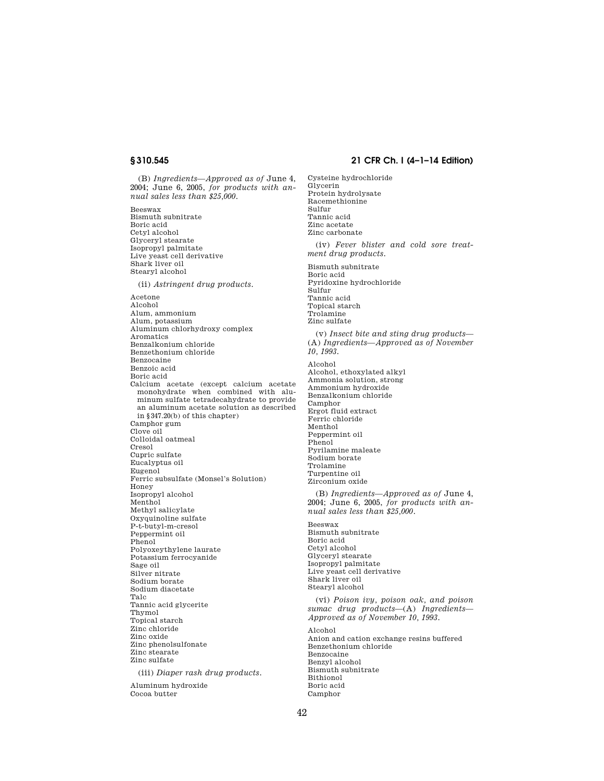(B) *Ingredients—Approved as of* June 4, 2004; June 6, 2005, *for products with annual sales less than \$25,000*.

Beeswax Bismuth subnitrate Boric acid Cetyl alcohol Glyceryl stearate Isopropyl palmitate Live yeast cell derivative Shark liver oil Stearyl alcohol (ii) *Astringent drug products.*  Acetone Alcohol Alum, ammonium Alum, potassium Aluminum chlorhydroxy complex Aromatics Benzalkonium chloride Benzethonium chloride Benzocaine Benzoic acid Boric acid Calcium acetate (except calcium acetate monohydrate when combined with aluminum sulfate tetradecahydrate to provide an aluminum acetate solution as described in §347.20(b) of this chapter) Camphor gum Clove oil Colloidal oatmeal Cresol Cupric sulfate Eucalyptus oil Eugenol Ferric subsulfate (Monsel's Solution) Honey Isopropyl alcohol Menthol Methyl salicylate Oxyquinoline sulfate P-t-butyl-m-cresol Peppermint oil Phenol Polyoxeythylene laurate Potassium ferrocyanide Sage oil Silver nitrate Sodium borate Sodium diacetate Talc Tannic acid glycerite Thymol Topical starch Zinc chloride Zinc oxide Zinc phenolsulfonate Zinc stearate Zinc sulfate (iii) *Diaper rash drug products.* 

Aluminum hydroxide Cocoa butter

# **§ 310.545 21 CFR Ch. I (4–1–14 Edition)**

Cysteine hydrochloride Glycerin Protein hydrolysate Racemethionine Sulfur Tannic acid Zinc acetate Zinc carbonate (iv) *Fever blister and cold sore treatment drug products.*  Bismuth subnitrate Boric acid Pyridoxine hydrochloride Sulfur Tannic acid Topical starch Trolamine Zinc sulfate (v) *Insect bite and sting drug products*— (A) *Ingredients—Approved as of November 10, 1993.*  Alcohol Alcohol, ethoxylated alkyl Ammonia solution, strong Ammonium hydroxide Benzalkonium chloride Camphor Ergot fluid extract Ferric chloride Menthol Peppermint oil Phenol Pyrilamine maleate Sodium borate Trolamine Turpentine oil Zirconium oxide (B) *Ingredients—Approved as of* June 4, 2004; June 6, 2005, *for products with annual sales less than \$25,000*. Beeswax Bismuth subnitrate

Boric acid Cetyl alcohol Glyceryl stearate Isopropyl palmitate Live yeast cell derivative Shark liver oil Stearyl alcohol

(vi) *Poison ivy, poison oak, and poison sumac drug products*—(A) *Ingredients— Approved as of November 10, 1993.*  Alcohol Anion and cation exchange resins buffered Benzethonium chloride Benzocaine Benzyl alcohol Bismuth subnitrate Bithionol

Boric acid Camphor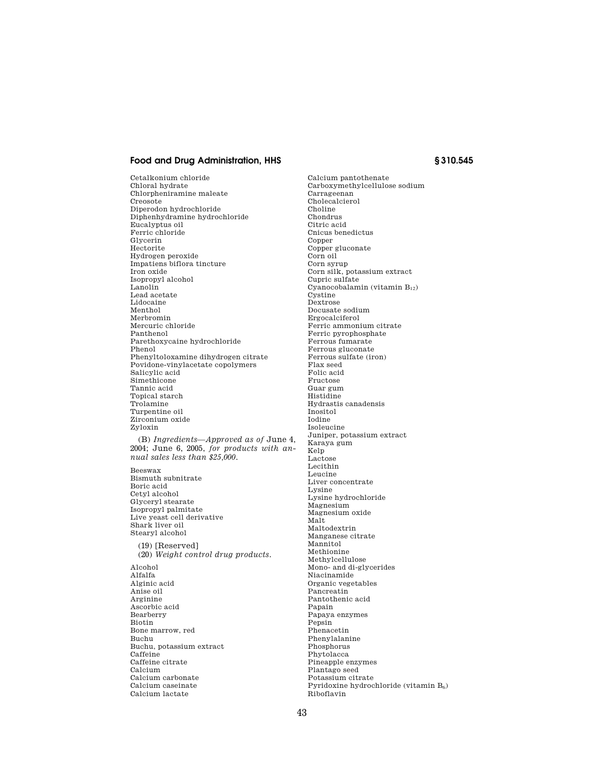Cetalkonium chloride Chloral hydrate Chlorpheniramine maleate Creosote Diperodon hydrochloride Diphenhydramine hydrochloride Eucalyptus oil Ferric chloride Glycerin Hectorite Hydrogen peroxide Impatiens biflora tincture Iron oxide Isopropyl alcohol Lanolin Lead acetate Lidocaine Menthol Merbromin Mercuric chloride Panthenol Parethoxycaine hydrochloride Phenol Phenyltoloxamine dihydrogen citrate Povidone-vinylacetate copolymers Salicylic acid Simethicone Tannic acid Topical starch Trolamine Turpentine oil Zirconium oxide Zyloxin (B) *Ingredients—Approved as of* June 4, 2004; June 6, 2005, *for products with annual sales less than \$25,000*. Beeswax Bismuth subnitrate Boric acid Cetyl alcohol Glyceryl stearate Isopropyl palmitate Live yeast cell derivative Shark liver oil Stearyl alcohol (19) [Reserved] (20) *Weight control drug products*. Alcohol Alfalfa Alginic acid Anise oil Arginine Ascorbic acid Bearberry Biotin Bone marrow, red Buchu Buchu, potassium extract Caffeine Caffeine citrate Calcium Calcium carbonate Calcium caseinate Calcium lactate

Calcium pantothenate Carboxymethylcellulose sodium Carrageenan Cholecalcierol Choline Chondrus Citric acid Cnicus benedictus Copper Copper gluconate Corn oil Corn syrup Corn silk, potassium extract Cupric sulfate  $Cyano cobalamin (vitamin B<sub>12</sub>)$ Cystine Dextrose Docusate sodium Ergocalciferol Ferric ammonium citrate Ferric pyrophosphate Ferrous fumarate Ferrous gluconate Ferrous sulfate (iron) Flax seed Folic acid Fructose Guar gum Histidine Hydrastis canadensis Inositol Iodine Isoleucine Juniper, potassium extract Karaya gum Kelp Lactose Lecithin Leucine Liver concentrate Lysine Lysine hydrochloride Magnesium Magnesium oxide Malt Maltodextrin Manganese citrate Mannitol Methionine Methylcellulose Mono- and di-glycerides Niacinamide Organic vegetables Pancreatin Pantothenic acid Papain Papaya enzymes Pepsin Phenacetin Phenylalanine Phosphorus Phytolacca Pineapple enzymes Plantago seed Potassium citrate Pyridoxine hydrochloride (vitamin B6) Riboflavin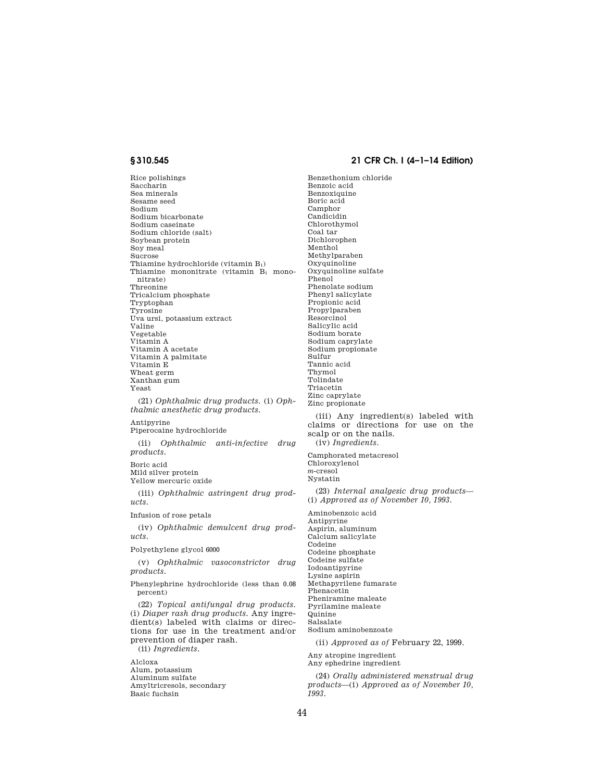Rice polishings Saccharin Sea minerals Sesame seed Sodium Sodium bicarbonate Sodium caseinate Sodium chloride (salt) Soybean protein Soy meal Sucrose Thiamine hydrochloride (vitamin B1) Thiamine mononitrate (vitamin  $B_1$  mononitrate) **Threonine** Tricalcium phosphate Tryptophan Tyrosine Uva ursi, potassium extract Valine Vegetable Vitamin A Vitamin A acetate Vitamin A palmitate Vitamin E Wheat germ Xanthan gum Yeast

(21) *Ophthalmic drug products.* (i) *Ophthalmic anesthetic drug products.* 

Antipyrine Piperocaine hydrochloride

(ii) *Ophthalmic anti-infective drug products.* 

Boric acid Mild silver protein Yellow mercuric oxide

(iii) *Ophthalmic astringent drug products.* 

Infusion of rose petals

(iv) *Ophthalmic demulcent drug products.* 

Polyethylene glycol 6000

(v) *Ophthalmic vasoconstrictor drug products.* 

Phenylephrine hydrochloride (less than 0.08 percent)

(22) *Topical antifungal drug products.*  (i) *Diaper rash drug products.* Any ingredient(s) labeled with claims or directions for use in the treatment and/or prevention of diaper rash.

(ii) *Ingredients.* 

Alcloxa Alum, potassium Aluminum sulfate Amyltricresols, secondary Basic fuchsin

### **§ 310.545 21 CFR Ch. I (4–1–14 Edition)**

Benzethonium chloride Benzoic acid Benzoxiquine Boric acid Camphor Candicidin Chlorothymol Coal tar Dichlorophen Menthol Methylparaben Oxyquinoline Oxyquinoline sulfate Phenol Phenolate sodium Phenyl salicylate Propionic acid Propylparaben Resorcinol Salicylic acid Sodium borate Sodium caprylate Sodium propionate Sulfur Tannic acid Thymol Tolindate Triacetin Zinc caprylate Zinc propionate

(iii) Any ingredient(s) labeled with claims or directions for use on the scalp or on the nails. (iv) *Ingredients.* 

Camphorated metacresol Chloroxylenol *m*-cresol Nystatin

(23) *Internal analgesic drug products*— (i) *Approved as of November 10, 1993.* 

Aminobenzoic acid Antipyrine Aspirin, aluminum Calcium salicylate Codeine Codeine phosphate Codeine sulfate Iodoantipyrine Lysine aspirin Methapyrilene fumarate Phenacetin Pheniramine maleate Pyrilamine maleate Quinine Salsalate Sodium aminobenzoate

(ii) *Approved as of* February 22, 1999.

Any atropine ingredient Any ephedrine ingredient

(24) *Orally administered menstrual drug products*—(i) *Approved as of November 10, 1993*.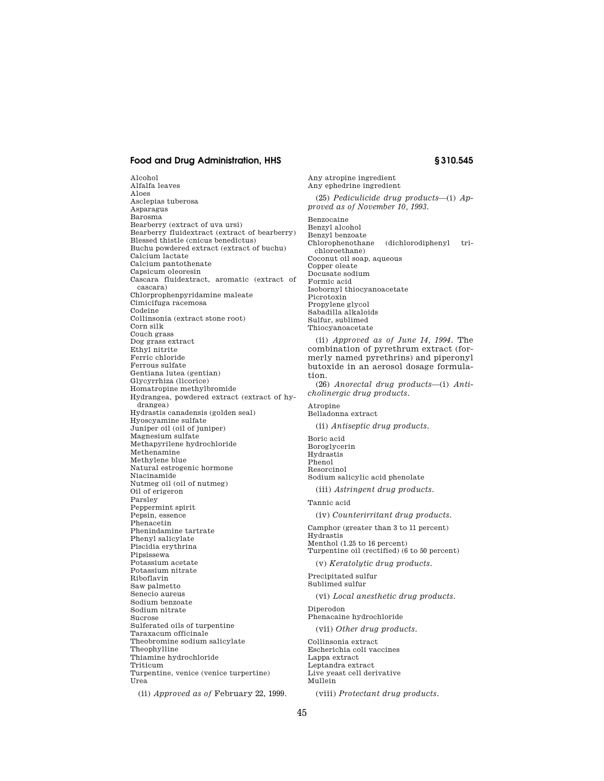Alcohol

Any atropine ingredient Any ephedrine ingredient (25) *Pediculicide drug products*—(i) *Approved as of November 10, 1993.* 

Alfalfa leaves Aloes Asclepias tuberosa Asparagus Barosma Bearberry (extract of uva ursi) Bearberry fluidextract (extract of bearberry) Blessed thistle (cnicus benedictus) Buchu powdered extract (extract of buchu) Calcium lactate Calcium pantothenate Capsicum oleoresin Cascara fluidextract, aromatic (extract of cascara) Chlorprophenpyridamine maleate Cimicifuga racemosa Codeine Collinsonia (extract stone root) Corn silk Couch grass Dog grass extract Ethyl nitrite Ferric chloride Ferrous sulfate Gentiana lutea (gentian) Glycyrrhiza (licorice) Homatropine methylbromide Hydrangea, powdered extract (extract of hydrangea) Hydrastis canadensis (golden seal) Hyoscyamine sulfate Juniper oil (oil of juniper) Magnesium sulfate Methapyrilene hydrochloride Methenamine Methylene blue Natural estrogenic hormone Niacinamide Nutmeg oil (oil of nutmeg) Oil of erigeron Parsley Peppermint spirit Pepsin, essence Phenacetin Phenindamine tartrate Phenyl salicylate Piscidia erythrina Pipsissewa Potassium acetate Potassium nitrate Riboflavin Saw palmetto Senecio aureus Sodium benzoate Sodium nitrate Sucrose Sulferated oils of turpentine Taraxacum officinale Theobromine sodium salicylate **Theophylline** Thiamine hydrochloride Triticum Turpentine, venice (venice turpertine) Urea (ii) *Approved as of* February 22, 1999.

Benzocaine Benzyl alcohol Benzyl benzoate (dichlorodiphenyl trichloroethane) Coconut oil soap, aqueous Copper oleate Docusate sodium Formic acid Isobornyl thiocyanoacetate Picrotoxin Propylene glycol Sabadilla alkaloids Sulfur, sublimed Thiocyanoacetate

(ii) *Approved as of June 14, 1994.* The combination of pyrethrum extract (formerly named pyrethrins) and piperonyl butoxide in an aerosol dosage formulation.

(26) *Anorectal drug products*—(i) *Anticholinergic drug products.* 

Atropine Belladonna extract

(ii) *Antiseptic drug products.* 

Boric acid Boroglycerin Hydrastis Phenol Resorcinol Sodium salicylic acid phenolate

(iii) *Astringent drug products.* 

Tannic acid

(iv) *Counterirritant drug products.* 

Camphor (greater than 3 to 11 percent) Hydrastis Menthol (1.25 to 16 percent) Turpentine oil (rectified) (6 to 50 percent)

(v) *Keratolytic drug products.* 

Precipitated sulfur Sublimed sulfur

(vi) *Local anesthetic drug products.* 

Diperodon Phenacaine hydrochloride (vii) *Other drug products.* 

Collinsonia extract Escherichia coli vaccines Lappa extract Leptandra extract Live yeast cell derivative Mullein

(viii) *Protectant drug products.*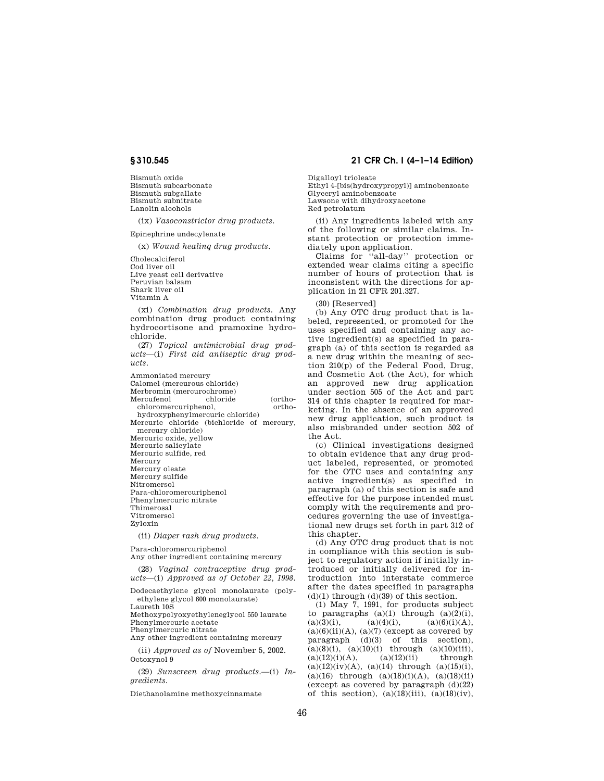Bismuth oxide Bismuth subcarbonate Bismuth subgallate Bismuth subnitrate Lanolin alcohols

(ix) *Vasoconstrictor drug products.* 

Epinephrine undecylenate

(x) *Wound healinq drug products.* 

Cholecalciferol Cod liver oil Live yeast cell derivative Peruvian balsam Shark liver oil Vitamin A

(xi) *Combination drug products.* Any combination drug product containing hydrocortisone and pramoxine hydrochloride.

(27) *Topical antimicrobial drug products*—(i) *First aid antiseptic drug products*.

Ammoniated mercury Calomel (mercurous chloride) Merbromin (mercurochrome) Mercufenol chloride (orthochloromercuriphenol, orthohydroxyphenylmercuric chloride) Mercuric chloride (bichloride of mercury, mercury chloride) Mercuric oxide, yellow Mercuric salicylate Mercuric sulfide, red Mercury Mercury oleate Mercury sulfide Nitromersol Para-chloromercuriphenol Phenylmercuric nitrate Thimerosal Vitromersol Zyloxin (ii) *Diaper rash drug products*.

Para-chloromercuriphenol Any other ingredient containing mercury

(28) *Vaginal contraceptive drug products*—(i) *Approved as of October 22, 1998.* 

Dodecaethylene glycol monolaurate (polyethylene glycol 600 monolaurate) Laureth 10S

Methoxypolyoxyethyleneglycol 550 laurate Phenylmercuric acetate

Phenylmercuric nitrate

Any other ingredient containing mercury

(ii) *Approved as of* November 5, 2002. Octoxynol 9

(29) *Sunscreen drug products.*—(i) *Ingredients.* 

Diethanolamine methoxycinnamate

### **§ 310.545 21 CFR Ch. I (4–1–14 Edition)**

Digalloyl trioleate Ethyl 4-[bis(hydroxypropyl)] aminobenzoate Glyceryl aminobenzoate Lawsone with dihydroxyacetone

Red petrolatum

(ii) Any ingredients labeled with any of the following or similar claims. Instant protection or protection immediately upon application.

Claims for ''all-day'' protection or extended wear claims citing a specific number of hours of protection that is inconsistent with the directions for application in 21 CFR 201.327.

(30) [Reserved]

(b) Any OTC drug product that is labeled, represented, or promoted for the uses specified and containing any active ingredient(s) as specified in paragraph (a) of this section is regarded as a new drug within the meaning of section 210(p) of the Federal Food, Drug, and Cosmetic Act (the Act), for which an approved new drug application under section 505 of the Act and part 314 of this chapter is required for marketing. In the absence of an approved new drug application, such product is also misbranded under section 502 of the Act.

(c) Clinical investigations designed to obtain evidence that any drug product labeled, represented, or promoted for the OTC uses and containing any active ingredient(s) as specified in paragraph (a) of this section is safe and effective for the purpose intended must comply with the requirements and procedures governing the use of investigational new drugs set forth in part 312 of this chapter.

(d) Any OTC drug product that is not in compliance with this section is subject to regulatory action if initially introduced or initially delivered for introduction into interstate commerce after the dates specified in paragraphs  $(d)(1)$  through  $(d)(39)$  of this section.

(1) May 7, 1991, for products subject to paragraphs (a)(1) through (a)(2)(i),<br>(a)(3)(i), (a)(4)(i), (a)(6)(i)(A),  $(a)(6)(i)(A),$  $(a)(6)(ii)(A), (a)(7)$  (except as covered by paragraph  $(d)(3)$  of this section), paragraph  $(d)(3)$  $(a)(8)(i)$ ,  $(a)(10)(i)$  through  $(a)(10)(iii)$ ,  $(a)(12)(i)(A),$   $(a)(12)(ii)$  through  $(a)(12)(iv)(A), (a)(14)$  through  $(a)(15)(i),$ (a)(16) through  $(a)(18)(i)(A)$ ,  $(a)(18)(ii)$ (except as covered by paragraph  $(d)(22)$ of this section),  $(a)(18)(iii)$ ,  $(a)(18)(iv)$ ,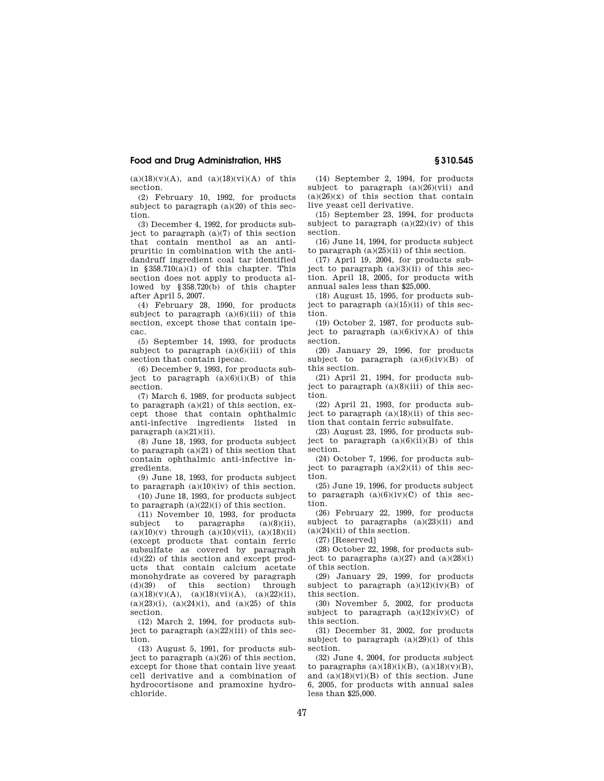$(a)(18)(v)(A)$ , and  $(a)(18)(vi)(A)$  of this section.

(2) February 10, 1992, for products subject to paragraph  $(a)(20)$  of this section.

(3) December 4, 1992, for products subject to paragraph (a)(7) of this section that contain menthol as an antipruritic in combination with the antidandruff ingredient coal tar identified in §358.710(a)(1) of this chapter. This section does not apply to products allowed by §358.720(b) of this chapter after April 5, 2007.

(4) February 28, 1990, for products subject to paragraph  $(a)(6)(iii)$  of this section, except those that contain ipecac.

(5) September 14, 1993, for products subject to paragraph  $(a)(6)(iii)$  of this section that contain ipecac.

(6) December 9, 1993, for products subject to paragraph  $(a)(6)(i)(B)$  of this section.

(7) March 6, 1989, for products subject to paragraph  $(a)(21)$  of this section, except those that contain ophthalmic anti-infective ingredients listed in paragraph  $(a)(21)(ii)$ .

(8) June 18, 1993, for products subject to paragraph (a)(21) of this section that contain ophthalmic anti-infective ingredients.

(9) June 18, 1993, for products subject to paragraph  $(a)(10)(iv)$  of this section.

(10) June 18, 1993, for products subject to paragraph  $(a)(22)(i)$  of this section.

(11) November 10, 1993, for products subject to paragraphs  $(a)(8)(ii)$ ,  $(a)(10)(v)$  through  $(a)(10)(vii)$ ,  $(a)(18)(ii)$ (except products that contain ferric subsulfate as covered by paragraph (d)(22) of this section and except products that contain calcium acetate monohydrate as covered by paragraph (d)(39) of this section) through  $(a)(18)(v)(A), (a)(18)(vi)(A), (a)(22)(ii),$  $(a)(23)(i)$ ,  $(a)(24)(i)$ , and  $(a)(25)$  of this section.

(12) March 2, 1994, for products subject to paragraph  $(a)(22)(iii)$  of this section.

(13) August 5, 1991, for products subject to paragraph (a)(26) of this section, except for those that contain live yeast cell derivative and a combination of hydrocortisone and pramoxine hydrochloride.

(14) September 2, 1994, for products subject to paragraph  $(a)(26)(\n$ vii) and  $(a)(26)(x)$  of this section that contain live yeast cell derivative.

(15) September 23, 1994, for products subject to paragraph (a)(22)(iv) of this section.

(16) June 14, 1994, for products subject to paragraph  $(a)(25)(ii)$  of this section.

(17) April 19, 2004, for products subject to paragraph  $(a)(3)(ii)$  of this section. April 18, 2005, for products with annual sales less than \$25,000.

(18) August 15, 1995, for products subject to paragraph  $(a)(15)(ii)$  of this section.

(19) October 2, 1987, for products subject to paragraph  $(a)(6)(iv)(A)$  of this section.

(20) January 29, 1996, for products subject to paragraph  $(a)(6)(iv)(B)$  of this section.

(21) April 21, 1994, for products subject to paragraph  $(a)(8)(iii)$  of this section.

(22) April 21, 1993, for products subject to paragraph (a)(18)(ii) of this section that contain ferric subsulfate.

(23) August 23, 1995, for products subject to paragraph  $(a)(6)(ii)(B)$  of this section.

(24) October 7, 1996, for products subject to paragraph  $(a)(2)(ii)$  of this section.

(25) June 19, 1996, for products subject to paragraph  $(a)(6)(iv)(C)$  of this section.

(26) February 22, 1999, for products subject to paragraphs  $(a)(23)(ii)$  and  $(a)(24)(ii)$  of this section.

(27) [Reserved]

(28) October 22, 1998, for products subject to paragraphs  $(a)(27)$  and  $(a)(28)(i)$ of this section.

(29) January 29, 1999, for products subject to paragraph  $(a)(12)(iv)(B)$  of this section.

(30) November 5, 2002, for products subject to paragraph  $(a)(12)(iv)(C)$  of this section.

(31) December 31, 2002, for products subject to paragraph (a)(29)(i) of this section.

(32) June 4, 2004, for products subject to paragraphs  $(a)(18)(i)(B)$ ,  $(a)(18)(v)(B)$ , and  $(a)(18)(vi)(B)$  of this section. June 6, 2005, for products with annual sales less than \$25,000.